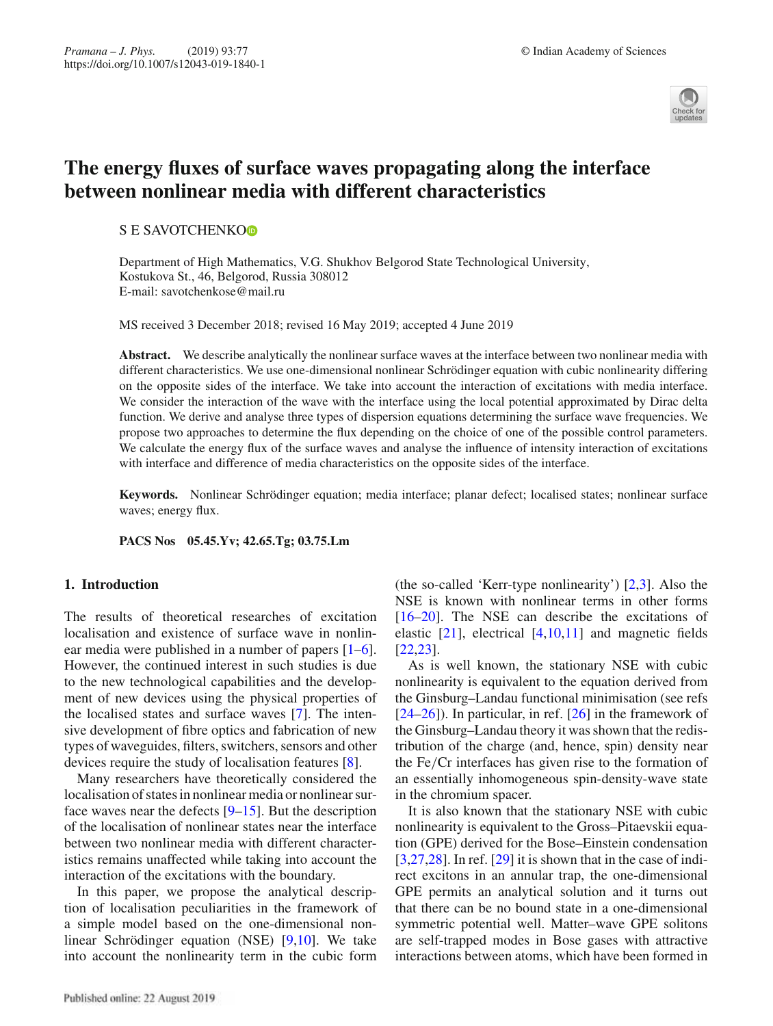

# **The energy fluxes of surface waves propagating along the interface between nonlinear media with different characteristics**

# S E SAVOTCHENKO<sup>®</sup>

Department of High Mathematics, V.G. Shukhov Belgorod State Technological University, Kostukova St., 46, Belgorod, Russia 308012 E-mail: savotchenkose@mail.ru

MS received 3 December 2018; revised 16 May 2019; accepted 4 June 2019

**Abstract.** We describe analytically the nonlinear surface waves at the interface between two nonlinear media with different characteristics. We use one-dimensional nonlinear Schrödinger equation with cubic nonlinearity differing on the opposite sides of the interface. We take into account the interaction of excitations with media interface. We consider the interaction of the wave with the interface using the local potential approximated by Dirac delta function. We derive and analyse three types of dispersion equations determining the surface wave frequencies. We propose two approaches to determine the flux depending on the choice of one of the possible control parameters. We calculate the energy flux of the surface waves and analyse the influence of intensity interaction of excitations with interface and difference of media characteristics on the opposite sides of the interface.

**Keywords.** Nonlinear Schrödinger equation; media interface; planar defect; localised states; nonlinear surface waves; energy flux.

**PACS Nos 05.45.Yv; 42.65.Tg; 03.75.Lm**

# **1. Introduction**

The results of theoretical researches of excitation localisation and existence of surface wave in nonlinear media were published in a number of papers [1–6]. However, the continued interest in such studies is due to the new technological capabilities and the development of new devices using the physical properties of the localised states and surface waves [7]. The intensive development of fibre optics and fabrication of new types of waveguides, filters, switchers, sensors and other devices require the study of localisation features [8].

Many researchers have theoretically considered the localisation of states in nonlinear media or nonlinear surface waves near the defects  $[9-15]$ . But the description of the localisation of nonlinear states near the interface between two nonlinear media with different characteristics remains unaffected while taking into account the interaction of the excitations with the boundary.

In this paper, we propose the analytical description of localisation peculiarities in the framework of a simple model based on the one-dimensional nonlinear Schrödinger equation (NSE) [9,10]. We take into account the nonlinearity term in the cubic form

Published online: 22 August 2019

(the so-called 'Kerr-type nonlinearity') [2,3]. Also the NSE is known with nonlinear terms in other forms [16–20]. The NSE can describe the excitations of elastic  $[21]$ , electrical  $[4,10,11]$  and magnetic fields [22,23].

As is well known, the stationary NSE with cubic nonlinearity is equivalent to the equation derived from the Ginsburg–Landau functional minimisation (see refs  $[24–26]$ ). In particular, in ref.  $[26]$  in the framework of the Ginsburg–Landau theory it was shown that the redistribution of the charge (and, hence, spin) density near the Fe/Cr interfaces has given rise to the formation of an essentially inhomogeneous spin-density-wave state in the chromium spacer.

It is also known that the stationary NSE with cubic nonlinearity is equivalent to the Gross–Pitaevskii equation (GPE) derived for the Bose–Einstein condensation  $[3,27,28]$ . In ref.  $[29]$  it is shown that in the case of indirect excitons in an annular trap, the one-dimensional GPE permits an analytical solution and it turns out that there can be no bound state in a one-dimensional symmetric potential well. Matter–wave GPE solitons are self-trapped modes in Bose gases with attractive interactions between atoms, which have been formed in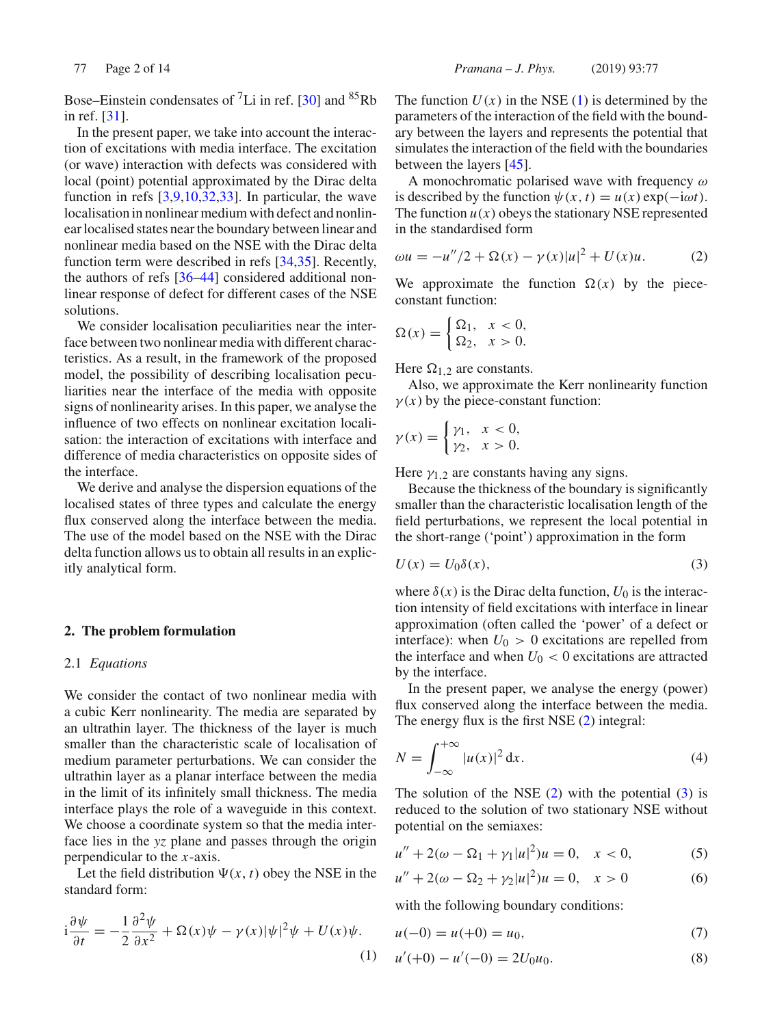Bose–Einstein condensates of  ${}^{7}$ Li in ref. [30] and  ${}^{85}$ Rb in ref. [31].

In the present paper, we take into account the interaction of excitations with media interface. The excitation (or wave) interaction with defects was considered with local (point) potential approximated by the Dirac delta function in refs  $[3,9,10,32,33]$ . In particular, the wave localisation in nonlinear medium with defect and nonlinear localised states near the boundary between linear and nonlinear media based on the NSE with the Dirac delta function term were described in refs [34,35]. Recently, the authors of refs [36–44] considered additional nonlinear response of defect for different cases of the NSE solutions.

We consider localisation peculiarities near the interface between two nonlinear media with different characteristics. As a result, in the framework of the proposed model, the possibility of describing localisation peculiarities near the interface of the media with opposite signs of nonlinearity arises. In this paper, we analyse the influence of two effects on nonlinear excitation localisation: the interaction of excitations with interface and difference of media characteristics on opposite sides of the interface.

We derive and analyse the dispersion equations of the localised states of three types and calculate the energy flux conserved along the interface between the media. The use of the model based on the NSE with the Dirac delta function allows us to obtain all results in an explicitly analytical form.

## **2. The problem formulation**

## 2.1 *Equations*

We consider the contact of two nonlinear media with a cubic Kerr nonlinearity. The media are separated by an ultrathin layer. The thickness of the layer is much smaller than the characteristic scale of localisation of medium parameter perturbations. We can consider the ultrathin layer as a planar interface between the media in the limit of its infinitely small thickness. The media interface plays the role of a waveguide in this context. We choose a coordinate system so that the media interface lies in the *yz* plane and passes through the origin perpendicular to the *x*-axis.

Let the field distribution  $\Psi(x, t)$  obey the NSE in the standard form:

$$
i\frac{\partial \psi}{\partial t} = -\frac{1}{2} \frac{\partial^2 \psi}{\partial x^2} + \Omega(x)\psi - \gamma(x)|\psi|^2 \psi + U(x)\psi.
$$
\n(1)

The function  $U(x)$  in the NSE (1) is determined by the parameters of the interaction of the field with the boundary between the layers and represents the potential that simulates the interaction of the field with the boundaries between the layers [45].

A monochromatic polarised wave with frequency  $\omega$ is described by the function  $\psi(x, t) = u(x) \exp(-i\omega t)$ . The function  $u(x)$  obeys the stationary NSE represented in the standardised form

$$
\omega u = -u''/2 + \Omega(x) - \gamma(x)|u|^2 + U(x)u.
$$
 (2)

We approximate the function  $\Omega(x)$  by the piececonstant function:

$$
\Omega(x) = \begin{cases} \Omega_1, & x < 0, \\ \Omega_2, & x > 0. \end{cases}
$$

Here  $\Omega_{1,2}$  are constants.

Also, we approximate the Kerr nonlinearity function  $\gamma(x)$  by the piece-constant function:

$$
\gamma(x) = \begin{cases} \gamma_1, & x < 0, \\ \gamma_2, & x > 0. \end{cases}
$$

Here  $\gamma_{1,2}$  are constants having any signs.

Because the thickness of the boundary is significantly smaller than the characteristic localisation length of the field perturbations, we represent the local potential in the short-range ('point') approximation in the form

$$
U(x) = U_0 \delta(x),\tag{3}
$$

where  $\delta(x)$  is the Dirac delta function,  $U_0$  is the interaction intensity of field excitations with interface in linear approximation (often called the 'power' of a defect or interface): when  $U_0 > 0$  excitations are repelled from the interface and when  $U_0 < 0$  excitations are attracted by the interface.

In the present paper, we analyse the energy (power) flux conserved along the interface between the media. The energy flux is the first NSE (2) integral:

$$
N = \int_{-\infty}^{+\infty} |u(x)|^2 dx.
$$
 (4)

The solution of the NSE  $(2)$  with the potential  $(3)$  is reduced to the solution of two stationary NSE without potential on the semiaxes:

$$
u'' + 2(\omega - \Omega_1 + \gamma_1 |u|^2)u = 0, \quad x < 0,\tag{5}
$$

$$
u'' + 2(\omega - \Omega_2 + \gamma_2 |u|^2)u = 0, \quad x > 0 \tag{6}
$$

with the following boundary conditions:

$$
u(-0) = u(+0) = u_0,\t\t(7)
$$

$$
u'(+0) - u'(-0) = 2U_0u_0.
$$
\n(8)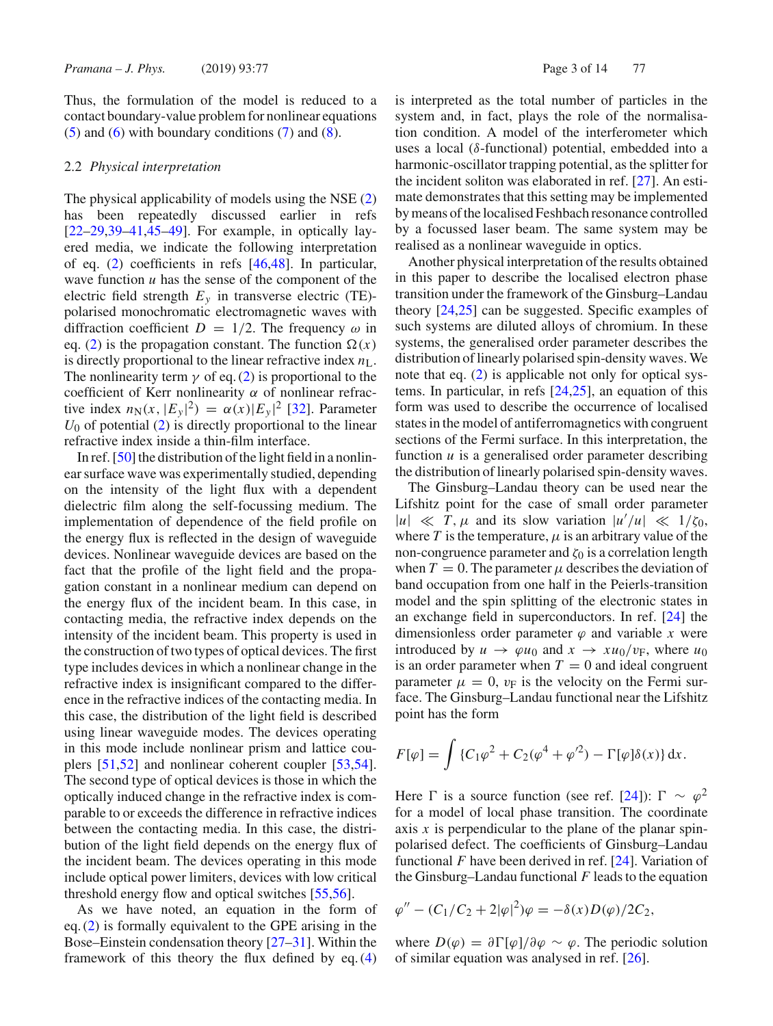Thus, the formulation of the model is reduced to a contact boundary-value problem for nonlinear equations  $(5)$  and  $(6)$  with boundary conditions  $(7)$  and  $(8)$ .

## 2.2 *Physical interpretation*

The physical applicability of models using the NSE (2) has been repeatedly discussed earlier in refs  $[22-29,39-41,45-49]$ . For example, in optically layered media, we indicate the following interpretation of eq. (2) coefficients in refs [46,48]. In particular, wave function *u* has the sense of the component of the electric field strength  $E_y$  in transverse electric (TE)polarised monochromatic electromagnetic waves with diffraction coefficient  $D = 1/2$ . The frequency  $\omega$  in eq. (2) is the propagation constant. The function  $\Omega(x)$ is directly proportional to the linear refractive index  $n<sub>L</sub>$ . The nonlinearity term  $\gamma$  of eq. (2) is proportional to the coefficient of Kerr nonlinearity  $\alpha$  of nonlinear refractive index  $n_N(x, |E_y|^2) = \alpha(x)|E_y|^2$  [32]. Parameter  $U_0$  of potential (2) is directly proportional to the linear refractive index inside a thin-film interface.

In ref. [50] the distribution of the light field in a nonlinear surface wave was experimentally studied, depending on the intensity of the light flux with a dependent dielectric film along the self-focussing medium. The implementation of dependence of the field profile on the energy flux is reflected in the design of waveguide devices. Nonlinear waveguide devices are based on the fact that the profile of the light field and the propagation constant in a nonlinear medium can depend on the energy flux of the incident beam. In this case, in contacting media, the refractive index depends on the intensity of the incident beam. This property is used in the construction of two types of optical devices. The first type includes devices in which a nonlinear change in the refractive index is insignificant compared to the difference in the refractive indices of the contacting media. In this case, the distribution of the light field is described using linear waveguide modes. The devices operating in this mode include nonlinear prism and lattice couplers [51,52] and nonlinear coherent coupler [53,54]. The second type of optical devices is those in which the optically induced change in the refractive index is comparable to or exceeds the difference in refractive indices between the contacting media. In this case, the distribution of the light field depends on the energy flux of the incident beam. The devices operating in this mode include optical power limiters, devices with low critical threshold energy flow and optical switches [55,56].

As we have noted, an equation in the form of eq. (2) is formally equivalent to the GPE arising in the Bose–Einstein condensation theory [27–31]. Within the framework of this theory the flux defined by eq. (4) is interpreted as the total number of particles in the system and, in fact, plays the role of the normalisation condition. A model of the interferometer which uses a local (δ-functional) potential, embedded into a harmonic-oscillator trapping potential, as the splitter for the incident soliton was elaborated in ref. [27]. An estimate demonstrates that this setting may be implemented by means of the localised Feshbach resonance controlled by a focussed laser beam. The same system may be realised as a nonlinear waveguide in optics.

Another physical interpretation of the results obtained in this paper to describe the localised electron phase transition under the framework of the Ginsburg–Landau theory [24,25] can be suggested. Specific examples of such systems are diluted alloys of chromium. In these systems, the generalised order parameter describes the distribution of linearly polarised spin-density waves. We note that eq. (2) is applicable not only for optical systems. In particular, in refs [24,25], an equation of this form was used to describe the occurrence of localised states in the model of antiferromagnetics with congruent sections of the Fermi surface. In this interpretation, the function *u* is a generalised order parameter describing the distribution of linearly polarised spin-density waves.

The Ginsburg–Landau theory can be used near the Lifshitz point for the case of small order parameter  $|u| \ll T$ ,  $\mu$  and its slow variation  $|u'/u| \ll 1/\zeta_0$ , where  $T$  is the temperature,  $\mu$  is an arbitrary value of the non-congruence parameter and  $\zeta_0$  is a correlation length when  $T = 0$ . The parameter  $\mu$  describes the deviation of band occupation from one half in the Peierls-transition model and the spin splitting of the electronic states in an exchange field in superconductors. In ref. [24] the dimensionless order parameter  $\varphi$  and variable *x* were introduced by  $u \rightarrow \varphi u_0$  and  $x \rightarrow xu_0/v_F$ , where  $u_0$ is an order parameter when  $T = 0$  and ideal congruent parameter  $\mu = 0$ ,  $v_F$  is the velocity on the Fermi surface. The Ginsburg–Landau functional near the Lifshitz point has the form

$$
F[\varphi] = \int \{C_1 \varphi^2 + C_2(\varphi^4 + \varphi'^2) - \Gamma[\varphi] \delta(x) \} \, dx.
$$

Here  $\Gamma$  is a source function (see ref. [24]):  $\Gamma \sim \varphi^2$ for a model of local phase transition. The coordinate axis *x* is perpendicular to the plane of the planar spinpolarised defect. The coefficients of Ginsburg–Landau functional *F* have been derived in ref. [24]. Variation of the Ginsburg–Landau functional *F* leads to the equation

$$
\varphi'' - (C_1/C_2 + 2|\varphi|^2)\varphi = -\delta(x)D(\varphi)/2C_2,
$$

where  $D(\varphi) = \partial \Gamma[\varphi]/\partial \varphi \sim \varphi$ . The periodic solution of similar equation was analysed in ref. [26].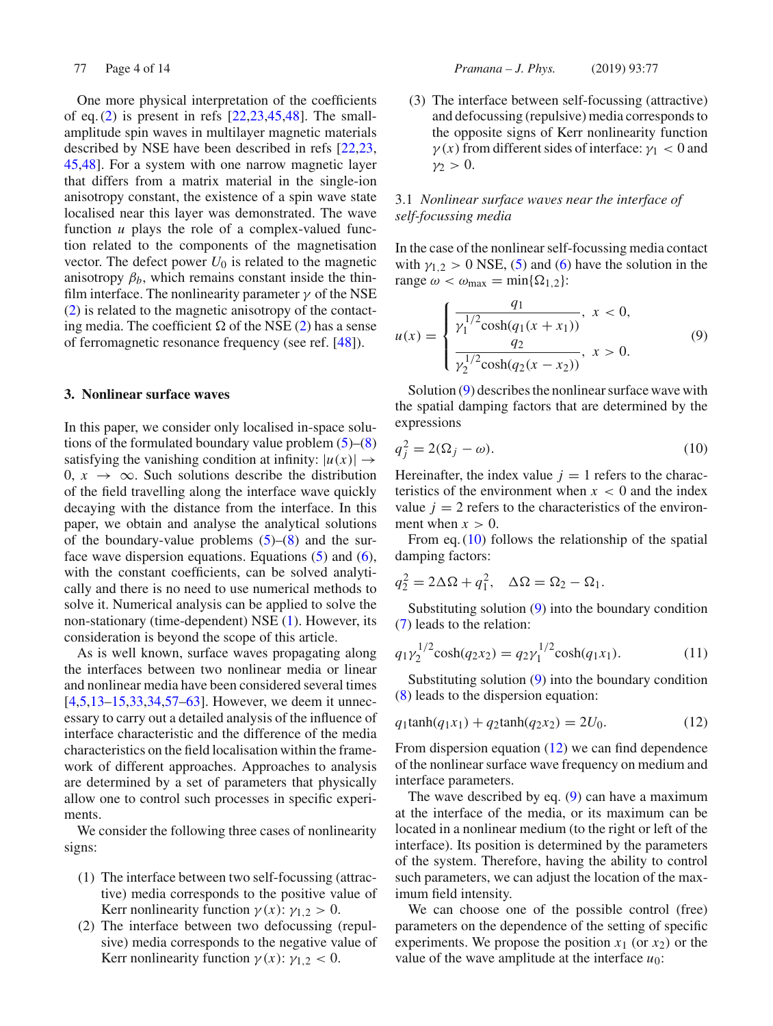One more physical interpretation of the coefficients of eq.  $(2)$  is present in refs  $[22,23,45,48]$ . The smallamplitude spin waves in multilayer magnetic materials described by NSE have been described in refs [22,23, 45,48]. For a system with one narrow magnetic layer that differs from a matrix material in the single-ion anisotropy constant, the existence of a spin wave state localised near this layer was demonstrated. The wave function *u* plays the role of a complex-valued function related to the components of the magnetisation vector. The defect power  $U_0$  is related to the magnetic anisotropy  $\beta_b$ , which remains constant inside the thinfilm interface. The nonlinearity parameter  $\gamma$  of the NSE (2) is related to the magnetic anisotropy of the contacting media. The coefficient  $\Omega$  of the NSE (2) has a sense of ferromagnetic resonance frequency (see ref. [48]).

## **3. Nonlinear surface waves**

In this paper, we consider only localised in-space solutions of the formulated boundary value problem  $(5)$ – $(8)$ satisfying the vanishing condition at infinity:  $|u(x)| \rightarrow$ 0,  $x \rightarrow \infty$ . Such solutions describe the distribution of the field travelling along the interface wave quickly decaying with the distance from the interface. In this paper, we obtain and analyse the analytical solutions of the boundary-value problems  $(5)$ – $(8)$  and the surface wave dispersion equations. Equations  $(5)$  and  $(6)$ , with the constant coefficients, can be solved analytically and there is no need to use numerical methods to solve it. Numerical analysis can be applied to solve the non-stationary (time-dependent) NSE (1). However, its consideration is beyond the scope of this article.

As is well known, surface waves propagating along the interfaces between two nonlinear media or linear and nonlinear media have been considered several times [4,5,13–15,33,34,57–63]. However, we deem it unnecessary to carry out a detailed analysis of the influence of interface characteristic and the difference of the media characteristics on the field localisation within the framework of different approaches. Approaches to analysis are determined by a set of parameters that physically allow one to control such processes in specific experiments.

We consider the following three cases of nonlinearity signs:

- (1) The interface between two self-focussing (attractive) media corresponds to the positive value of Kerr nonlinearity function  $\gamma(x)$ :  $\gamma_{1,2} > 0$ .
- (2) The interface between two defocussing (repulsive) media corresponds to the negative value of Kerr nonlinearity function  $\gamma(x)$ :  $\gamma_{1,2}$  < 0.

77 Page 4 of 14 *Pramana – J. Phys.* (2019) 93:77

(3) The interface between self-focussing (attractive) and defocussing (repulsive) media corresponds to the opposite signs of Kerr nonlinearity function  $\gamma(x)$  from different sides of interface:  $\gamma_1 < 0$  and  $\nu$  > 0.

# 3.1 *Nonlinear surface waves near the interface of self-focussing media*

In the case of the nonlinear self-focussing media contact with  $\gamma_{1,2} > 0$  NSE, (5) and (6) have the solution in the range  $\omega < \omega_{\text{max}} = \min\{\Omega_{1,2}\}\$ :

$$
u(x) = \begin{cases} \frac{q_1}{\gamma_1^{1/2} \cosh(q_1(x+x_1))}, & x < 0, \\ \frac{q_2}{\gamma_2^{1/2} \cosh(q_2(x-x_2))}, & x > 0. \end{cases}
$$
(9)

Solution (9) describes the nonlinear surface wave with the spatial damping factors that are determined by the expressions

$$
q_j^2 = 2(\Omega_j - \omega). \tag{10}
$$

Hereinafter, the index value  $j = 1$  refers to the characteristics of the environment when  $x < 0$  and the index value  $j = 2$  refers to the characteristics of the environment when  $x > 0$ .

From eq. (10) follows the relationship of the spatial damping factors:

$$
q_2^2 = 2\Delta\Omega + q_1^2, \quad \Delta\Omega = \Omega_2 - \Omega_1.
$$

Substituting solution (9) into the boundary condition (7) leads to the relation:

$$
q_1 \gamma_2^{1/2} \cosh(q_2 x_2) = q_2 \gamma_1^{1/2} \cosh(q_1 x_1). \tag{11}
$$

Substituting solution (9) into the boundary condition (8) leads to the dispersion equation:

$$
q_1 \tanh(q_1 x_1) + q_2 \tanh(q_2 x_2) = 2U_0. \tag{12}
$$

From dispersion equation (12) we can find dependence of the nonlinear surface wave frequency on medium and interface parameters.

The wave described by eq. (9) can have a maximum at the interface of the media, or its maximum can be located in a nonlinear medium (to the right or left of the interface). Its position is determined by the parameters of the system. Therefore, having the ability to control such parameters, we can adjust the location of the maximum field intensity.

We can choose one of the possible control (free) parameters on the dependence of the setting of specific experiments. We propose the position  $x_1$  (or  $x_2$ ) or the value of the wave amplitude at the interface  $u_0$ :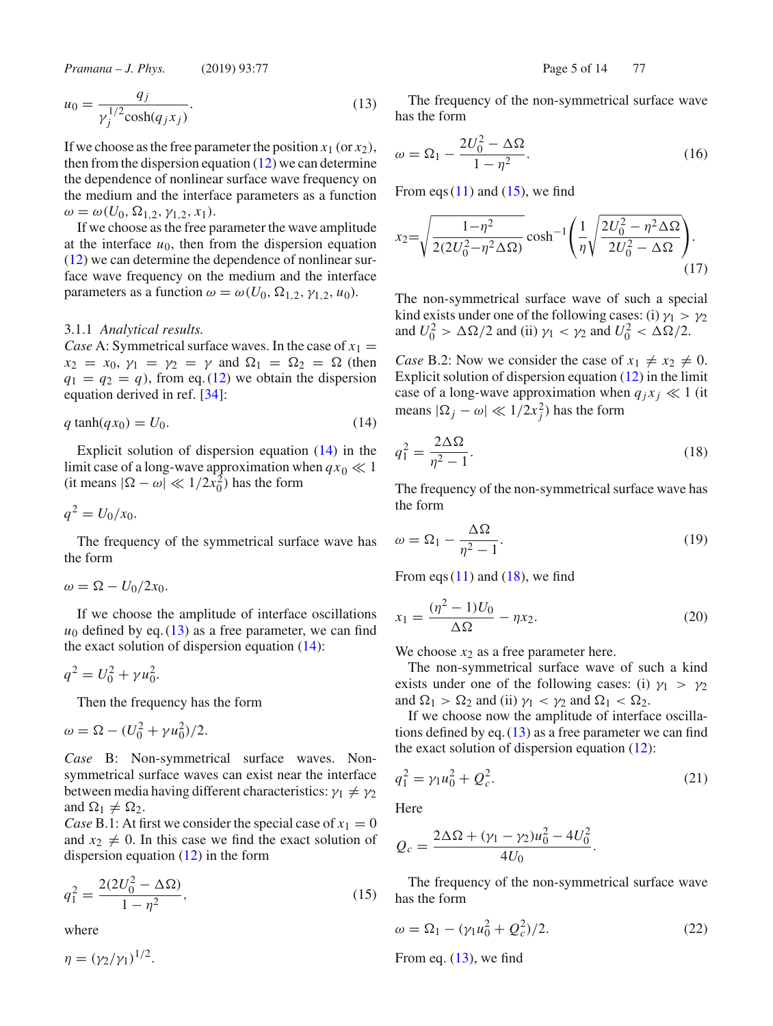$$
u_0 = \frac{q_j}{\gamma_j^{1/2} \cosh(q_j x_j)}.
$$
 (13)

If we choose as the free parameter the position  $x_1$  (or  $x_2$ ), then from the dispersion equation  $(12)$  we can determine the dependence of nonlinear surface wave frequency on the medium and the interface parameters as a function  $\omega = \omega(U_0, \Omega_{1,2}, \gamma_{1,2}, x_1).$ 

If we choose as the free parameter the wave amplitude at the interface  $u_0$ , then from the dispersion equation (12) we can determine the dependence of nonlinear surface wave frequency on the medium and the interface parameters as a function  $\omega = \omega(U_0, \Omega_{1,2}, \gamma_{1,2}, u_0)$ .

#### 3.1.1 *Analytical results.*

*Case* A: Symmetrical surface waves. In the case of  $x_1 =$  $x_2 = x_0, \gamma_1 = \gamma_2 = \gamma$  and  $\Omega_1 = \Omega_2 = \Omega$  (then  $q_1 = q_2 = q$ , from eq. (12) we obtain the dispersion equation derived in ref. [34]:

$$
q \tanh(q x_0) = U_0. \tag{14}
$$

Explicit solution of dispersion equation (14) in the limit case of a long-wave approximation when  $qx_0 \ll 1$ (it means  $|\Omega - \omega| \ll 1/2\tilde{x}_0^2$ ) has the form

$$
q^2 = U_0/x_0.
$$

The frequency of the symmetrical surface wave has the form

$$
\omega = \Omega - U_0/2x_0.
$$

If we choose the amplitude of interface oscillations  $u_0$  defined by eq. (13) as a free parameter, we can find the exact solution of dispersion equation (14):

$$
q^2 = U_0^2 + \gamma u_0^2.
$$

Then the frequency has the form

$$
\omega = \Omega - (U_0^2 + \gamma u_0^2)/2.
$$

*Case* B: Non-symmetrical surface waves. Nonsymmetrical surface waves can exist near the interface between media having different characteristics:  $\gamma_1 \neq \gamma_2$ and  $\Omega_1 \neq \Omega_2$ .

*Case* B.1: At first we consider the special case of  $x_1 = 0$ and  $x_2 \neq 0$ . In this case we find the exact solution of dispersion equation (12) in the form

$$
q_1^2 = \frac{2(2U_0^2 - \Delta\Omega)}{1 - \eta^2},\tag{15}
$$

where

 $\eta = (\gamma_2/\gamma_1)^{1/2}.$ 

The frequency of the non-symmetrical surface wave has the form

$$
\omega = \Omega_1 - \frac{2U_0^2 - \Delta\Omega}{1 - \eta^2}.
$$
\n(16)

From eqs  $(11)$  and  $(15)$ , we find

$$
x_2 = \sqrt{\frac{1 - \eta^2}{2(2U_0^2 - \eta^2 \Delta \Omega)}} \cosh^{-1} \left( \frac{1}{\eta} \sqrt{\frac{2U_0^2 - \eta^2 \Delta \Omega}{2U_0^2 - \Delta \Omega}} \right). \tag{17}
$$

The non-symmetrical surface wave of such a special kind exists under one of the following cases: (i)  $\gamma_1 > \gamma_2$ and  $U_0^2 > \Delta\Omega/2$  and (ii)  $\gamma_1 < \gamma_2$  and  $U_0^2 < \Delta\Omega/2$ .

*Case* B.2: Now we consider the case of  $x_1 \neq x_2 \neq 0$ . Explicit solution of dispersion equation (12) in the limit case of a long-wave approximation when  $q_i x_j \ll 1$  (it means  $|\Omega_j - \omega| \ll 1/2x_j^2$ ) has the form

$$
q_1^2 = \frac{2\Delta\Omega}{\eta^2 - 1}.\tag{18}
$$

The frequency of the non-symmetrical surface wave has the form

$$
\omega = \Omega_1 - \frac{\Delta \Omega}{\eta^2 - 1}.\tag{19}
$$

From eqs  $(11)$  and  $(18)$ , we find

$$
x_1 = \frac{(\eta^2 - 1)U_0}{\Delta \Omega} - \eta x_2.
$$
 (20)

We choose  $x_2$  as a free parameter here.

The non-symmetrical surface wave of such a kind exists under one of the following cases: (i)  $\gamma_1 > \gamma_2$ and  $\Omega_1 > \Omega_2$  and (ii)  $\gamma_1 < \gamma_2$  and  $\Omega_1 < \Omega_2$ .

If we choose now the amplitude of interface oscillations defined by eq.  $(13)$  as a free parameter we can find the exact solution of dispersion equation  $(12)$ :

$$
q_1^2 = \gamma_1 u_0^2 + Q_c^2. \tag{21}
$$

Here

$$
Q_c = \frac{2\Delta\Omega + (\gamma_1 - \gamma_2)u_0^2 - 4U_0^2}{4U_0}.
$$

The frequency of the non-symmetrical surface wave has the form

$$
\omega = \Omega_1 - (\gamma_1 u_0^2 + Q_c^2)/2. \tag{22}
$$

From eq.  $(13)$ , we find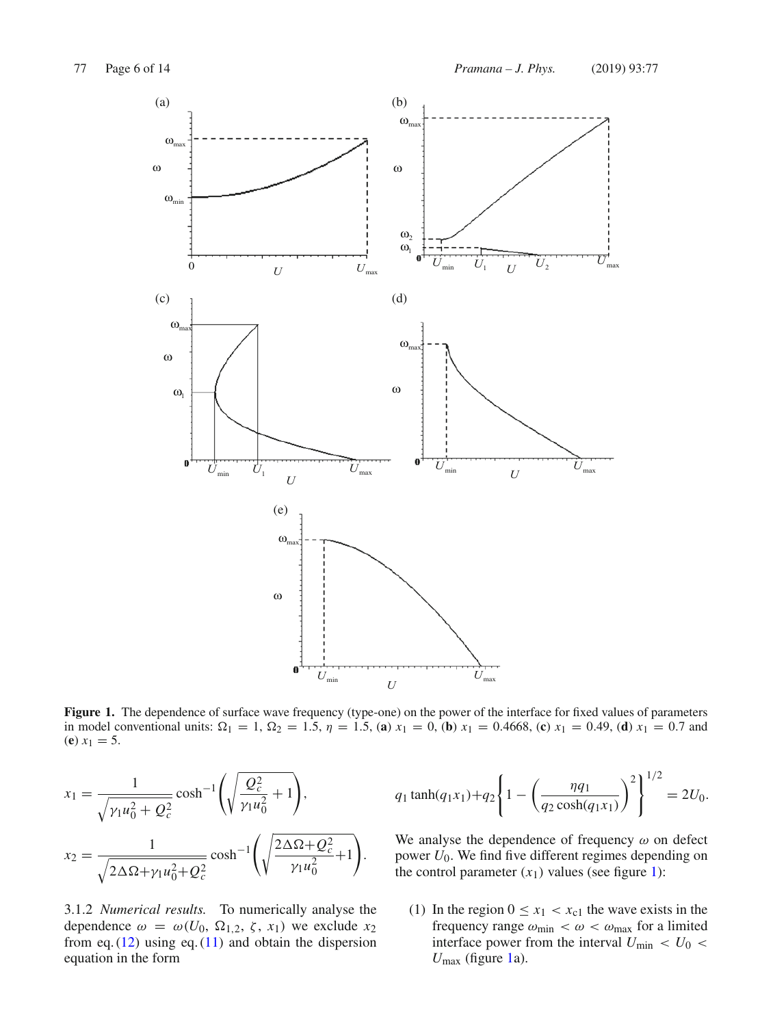

Figure 1. The dependence of surface wave frequency (type-one) on the power of the interface for fixed values of parameters in model conventional units:  $\Omega_1 = 1$ ,  $\Omega_2 = 1.5$ ,  $\eta = 1.5$ , (a)  $x_1 = 0$ , (b)  $x_1 = 0.4668$ , (c)  $x_1 = 0.49$ , (d)  $x_1 = 0.7$  and (**e**)  $x_1 = 5$ .

$$
x_1 = \frac{1}{\sqrt{\gamma_1 u_0^2 + Q_c^2}} \cosh^{-1}\left(\sqrt{\frac{Q_c^2}{\gamma_1 u_0^2} + 1}\right),
$$
  

$$
x_2 = \frac{1}{\sqrt{2\Delta\Omega + \gamma_1 u_0^2 + Q_c^2}} \cosh^{-1}\left(\sqrt{\frac{2\Delta\Omega + Q_c^2}{\gamma_1 u_0^2} + 1}\right).
$$

3.1.2 *Numerical results.* To numerically analyse the dependence  $\omega = \omega(U_0, \Omega_{1,2}, \zeta, x_1)$  we exclude  $x_2$ from eq.  $(12)$  using eq.  $(11)$  and obtain the dispersion equation in the form

$$
q_1 \tanh(q_1 x_1) + q_2 \left\{ 1 - \left( \frac{\eta q_1}{q_2 \cosh(q_1 x_1)} \right)^2 \right\}^{1/2} = 2U_0.
$$

We analyse the dependence of frequency  $\omega$  on defect power  $U_0$ . We find five different regimes depending on the control parameter  $(x_1)$  values (see figure 1):

(1) In the region  $0 \le x_1 < x_{c1}$  the wave exists in the frequency range  $\omega_{\text{min}} < \omega < \omega_{\text{max}}$  for a limited interface power from the interval  $U_{\text{min}} < U_0$  $U_{\text{max}}$  (figure 1a).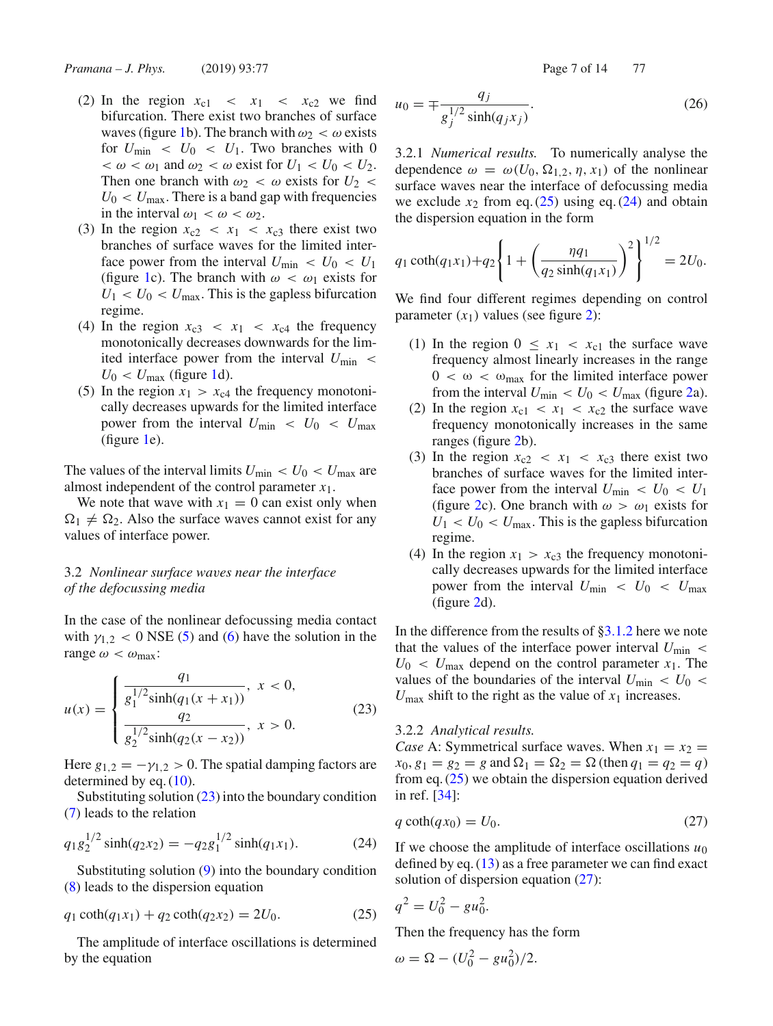- (2) In the region  $x_{c1} < x_1 < x_{c2}$  we find bifurcation. There exist two branches of surface waves (figure 1b). The branch with  $\omega_2 < \omega$  exists for  $U_{\text{min}} < U_0 < U_1$ . Two branches with 0  $< \omega < \omega_1$  and  $\omega_2 < \omega$  exist for  $U_1 < U_0 < U_2$ . Then one branch with  $\omega_2 < \omega$  exists for  $U_2 <$  $U_0 < U_{\text{max}}$ . There is a band gap with frequencies in the interval  $\omega_1 < \omega < \omega_2$ .
- (3) In the region  $x_{c2} < x_1 < x_{c3}$  there exist two branches of surface waves for the limited interface power from the interval  $U_{\text{min}} < U_0 < U_1$ (figure 1c). The branch with  $\omega < \omega_1$  exists for  $U_1 < U_0 < U_{\text{max}}$ . This is the gapless bifurcation regime.
- (4) In the region  $x_{c3} < x_1 < x_{c4}$  the frequency monotonically decreases downwards for the limited interface power from the interval  $U_{\text{min}}$  <  $U_0 < U_{\text{max}}$  (figure 1d).
- (5) In the region  $x_1 > x_{c4}$  the frequency monotonically decreases upwards for the limited interface power from the interval  $U_{\text{min}} < U_0 < U_{\text{max}}$ (figure 1e).

The values of the interval limits  $U_{\text{min}} < U_0 < U_{\text{max}}$  are almost independent of the control parameter *x*1.

We note that wave with  $x_1 = 0$  can exist only when  $\Omega_1 \neq \Omega_2$ . Also the surface waves cannot exist for any values of interface power.

# 3.2 *Nonlinear surface waves near the interface of the defocussing media*

In the case of the nonlinear defocussing media contact with  $\gamma_{1,2}$  < 0 NSE (5) and (6) have the solution in the range  $\omega < \omega_{\text{max}}$ :

$$
u(x) = \begin{cases} \frac{q_1}{g_1^{1/2} \sinh(q_1(x+x_1))}, & x < 0, \\ \frac{q_2}{g_2^{1/2} \sinh(q_2(x-x_2))}, & x > 0. \end{cases}
$$
(23)

Here  $g_{1,2} = -\gamma_{1,2} > 0$ . The spatial damping factors are determined by eq. (10).

Substituting solution  $(23)$  into the boundary condition (7) leads to the relation

$$
q_1 g_2^{1/2} \sinh(q_2 x_2) = -q_2 g_1^{1/2} \sinh(q_1 x_1).
$$
 (24)

Substituting solution (9) into the boundary condition (8) leads to the dispersion equation

$$
q_1 \coth(q_1 x_1) + q_2 \coth(q_2 x_2) = 2U_0. \tag{25}
$$

The amplitude of interface oscillations is determined by the equation

$$
u_0 = \mp \frac{q_j}{g_j^{1/2} \sinh(q_j x_j)}.
$$
 (26)

3.2.1 *Numerical results.* To numerically analyse the dependence  $\omega = \omega(U_0, \Omega_{1,2}, \eta, x_1)$  of the nonlinear surface waves near the interface of defocussing media we exclude  $x_2$  from eq. (25) using eq. (24) and obtain the dispersion equation in the form

$$
q_1 \coth(q_1 x_1) + q_2 \left\{ 1 + \left( \frac{\eta q_1}{q_2 \sinh(q_1 x_1)} \right)^2 \right\}^{1/2} = 2U_0.
$$

We find four different regimes depending on control parameter  $(x_1)$  values (see figure 2):

- (1) In the region  $0 \leq x_1 < x_{c1}$  the surface wave frequency almost linearly increases in the range  $0 < \omega < \omega_{\text{max}}$  for the limited interface power from the interval  $U_{\text{min}} < U_0 < U_{\text{max}}$  (figure 2a).
- (2) In the region  $x_{c1} < x_1 < x_{c2}$  the surface wave frequency monotonically increases in the same ranges (figure 2b).
- (3) In the region  $x_{c2} < x_1 < x_{c3}$  there exist two branches of surface waves for the limited interface power from the interval  $U_{\text{min}} < U_0 < U_1$ (figure 2c). One branch with  $\omega > \omega_1$  exists for  $U_1 < U_0 < U_{\text{max}}$ . This is the gapless bifurcation regime.
- (4) In the region  $x_1 > x_{c3}$  the frequency monotonically decreases upwards for the limited interface power from the interval  $U_{\text{min}} < U_0 < U_{\text{max}}$ (figure 2d).

In the difference from the results of §3.1.2 here we note that the values of the interface power interval  $U_{\text{min}}$  <  $U_0 < U_{\text{max}}$  depend on the control parameter  $x_1$ . The values of the boundaries of the interval  $U_{\text{min}} < U_0$  $U_{\text{max}}$  shift to the right as the value of  $x_1$  increases.

#### 3.2.2 *Analytical results.*

*Case* A: Symmetrical surface waves. When  $x_1 = x_2$  =  $x_0, g_1 = g_2 = g$  and  $\Omega_1 = \Omega_2 = \Omega$  (then  $q_1 = q_2 = q$ ) from eq. (25) we obtain the dispersion equation derived in ref. [34]:

$$
q \coth(q x_0) = U_0. \tag{27}
$$

If we choose the amplitude of interface oscillations  $u_0$ defined by eq. (13) as a free parameter we can find exact solution of dispersion equation (27):

$$
q^2 = U_0^2 - gu_0^2.
$$

Then the frequency has the form

$$
\omega = \Omega - (U_0^2 - gu_0^2)/2.
$$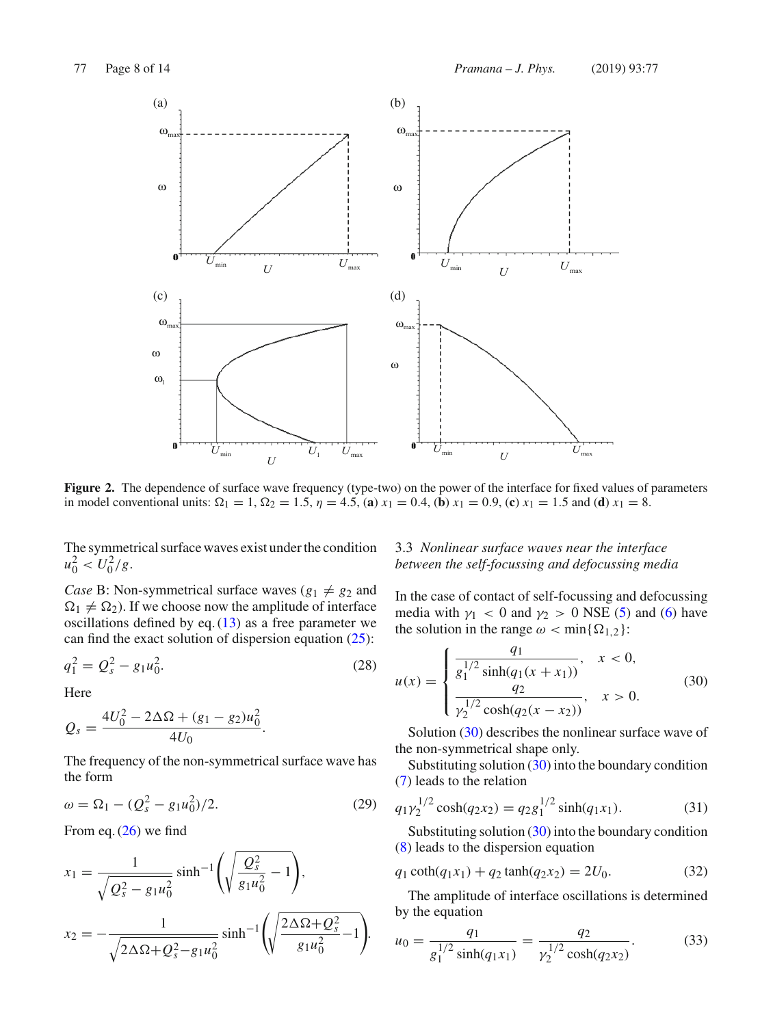

Figure 2. The dependence of surface wave frequency (type-two) on the power of the interface for fixed values of parameters in model conventional units:  $\Omega_1 = 1$ ,  $\Omega_2 = 1.5$ ,  $\eta = 4.5$ , (**a**)  $x_1 = 0.4$ , (**b**)  $x_1 = 0.9$ , (**c**)  $x_1 = 1.5$  and (**d**)  $x_1 = 8$ .

The symmetrical surface waves exist under the condition  $u_0^2 < U_0^2/g.$ 

*Case* B: Non-symmetrical surface waves ( $g_1 \neq g_2$  and  $\Omega_1 \neq \Omega_2$ ). If we choose now the amplitude of interface oscillations defined by eq.  $(13)$  as a free parameter we can find the exact solution of dispersion equation  $(25)$ :

$$
q_1^2 = Q_s^2 - g_1 u_0^2. \tag{28}
$$

Here

$$
Q_s = \frac{4U_0^2 - 2\Delta\Omega + (g_1 - g_2)u_0^2}{4U_0}.
$$

The frequency of the non-symmetrical surface wave has the form

$$
\omega = \Omega_1 - (Q_s^2 - g_1 u_0^2)/2. \tag{29}
$$

From eq. (26) we find

$$
x_1 = \frac{1}{\sqrt{Q_s^2 - g_1 u_0^2}} \sinh^{-1} \left( \sqrt{\frac{Q_s^2}{g_1 u_0^2} - 1} \right),
$$
  

$$
x_2 = -\frac{1}{\sqrt{2\Delta\Omega + Q_s^2 - g_1 u_0^2}} \sinh^{-1} \left( \sqrt{\frac{2\Delta\Omega + Q_s^2}{g_1 u_0^2} - 1} \right).
$$

# 3.3 *Nonlinear surface waves near the interface between the self-focussing and defocussing media*

In the case of contact of self-focussing and defocussing media with  $\gamma_1$  < 0 and  $\gamma_2$  > 0 NSE (5) and (6) have the solution in the range  $\omega < \min\{\Omega_{1,2}\}\$ :

$$
u(x) = \begin{cases} \frac{q_1}{g_1^{1/2} \sinh(q_1(x+x_1))}, & x < 0, \\ \frac{q_2}{\gamma_2^{1/2} \cosh(q_2(x-x_2))}, & x > 0. \end{cases}
$$
(30)

Solution (30) describes the nonlinear surface wave of the non-symmetrical shape only.

Substituting solution (30) into the boundary condition (7) leads to the relation

$$
q_1 \gamma_2^{1/2} \cosh(q_2 x_2) = q_2 g_1^{1/2} \sinh(q_1 x_1).
$$
 (31)

Substituting solution (30) into the boundary condition (8) leads to the dispersion equation

$$
q_1 \coth(q_1 x_1) + q_2 \tanh(q_2 x_2) = 2U_0. \tag{32}
$$

The amplitude of interface oscillations is determined by the equation

$$
u_0 = \frac{q_1}{g_1^{1/2} \sinh(q_1 x_1)} = \frac{q_2}{\gamma_2^{1/2} \cosh(q_2 x_2)}.
$$
 (33)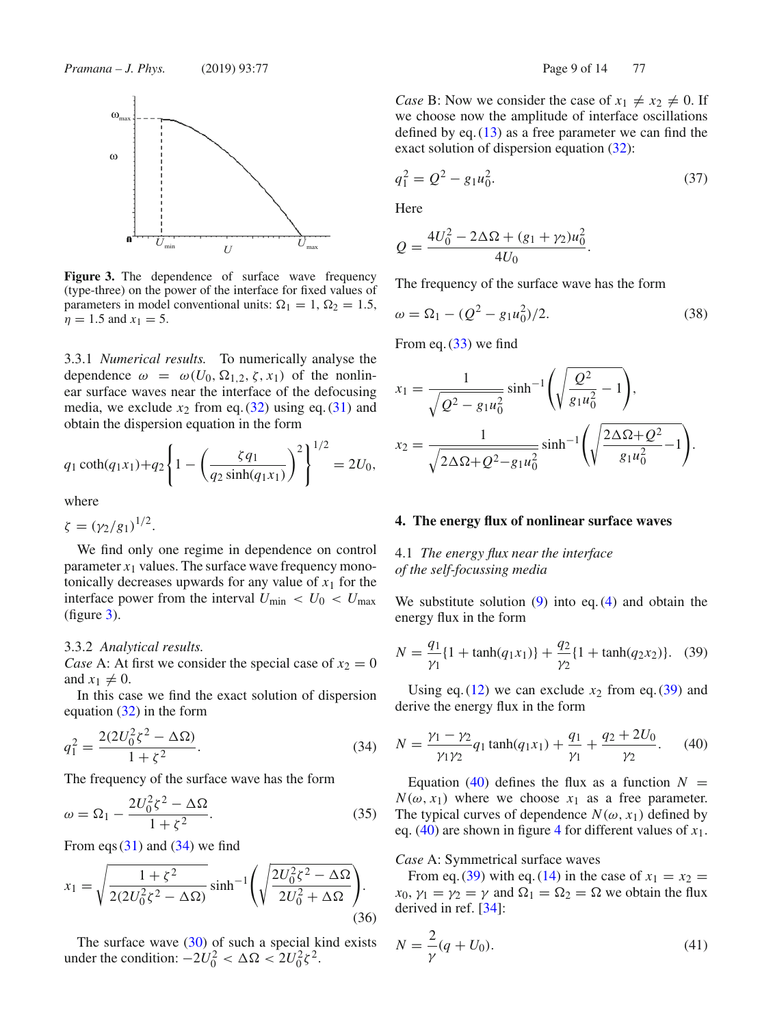

**Figure 3.** The dependence of surface wave frequency (type-three) on the power of the interface for fixed values of parameters in model conventional units:  $\Omega_1 = 1$ ,  $\Omega_2 = 1.5$ ,  $\eta = 1.5$  and  $x_1 = 5$ .

3.3.1 *Numerical results.* To numerically analyse the dependence  $\omega = \omega(U_0, \Omega_{1,2}, \zeta, x_1)$  of the nonlinear surface waves near the interface of the defocusing media, we exclude  $x_2$  from eq. (32) using eq. (31) and obtain the dispersion equation in the form

$$
q_1 \coth(q_1 x_1) + q_2 \left\{ 1 - \left( \frac{\zeta q_1}{q_2 \sinh(q_1 x_1)} \right)^2 \right\}^{1/2} = 2U_0,
$$

where

 $\zeta = (\gamma_2/g_1)^{1/2}.$ 

We find only one regime in dependence on control parameter  $x_1$  values. The surface wave frequency monotonically decreases upwards for any value of  $x_1$  for the interface power from the interval  $U_{\text{min}} < U_0 < U_{\text{max}}$ (figure 3).

#### 3.3.2 *Analytical results.*

*Case* A: At first we consider the special case of  $x_2 = 0$ and  $x_1 \neq 0$ .

In this case we find the exact solution of dispersion equation (32) in the form

$$
q_1^2 = \frac{2(2U_0^2 \zeta^2 - \Delta \Omega)}{1 + \zeta^2}.
$$
 (34)

The frequency of the surface wave has the form

$$
\omega = \Omega_1 - \frac{2U_0^2 \zeta^2 - \Delta\Omega}{1 + \zeta^2}.
$$
\n(35)

From eqs  $(31)$  and  $(34)$  we find

$$
x_1 = \sqrt{\frac{1+\xi^2}{2(2U_0^2\xi^2 - \Delta\Omega)}} \sinh^{-1}\left(\sqrt{\frac{2U_0^2\xi^2 - \Delta\Omega}{2U_0^2 + \Delta\Omega}}\right).
$$
\n(36)

The surface wave  $(30)$  of such a special kind exists under the condition:  $-2U_0^2 < \Delta \Omega < 2U_0^2 \zeta^2$ .

*Case* B: Now we consider the case of  $x_1 \neq x_2 \neq 0$ . If we choose now the amplitude of interface oscillations defined by eq.  $(13)$  as a free parameter we can find the exact solution of dispersion equation (32):

$$
q_1^2 = Q^2 - g_1 u_0^2. \tag{37}
$$

Here

$$
Q = \frac{4U_0^2 - 2\Delta\Omega + (g_1 + \gamma_2)u_0^2}{4U_0}.
$$

The frequency of the surface wave has the form

$$
\omega = \Omega_1 - (Q^2 - g_1 u_0^2)/2. \tag{38}
$$

From eq.  $(33)$  we find

$$
x_1 = \frac{1}{\sqrt{Q^2 - g_1 u_0^2}} \sinh^{-1} \left( \sqrt{\frac{Q^2}{g_1 u_0^2} - 1} \right),
$$
  

$$
x_2 = \frac{1}{\sqrt{2\Delta\Omega + Q^2 - g_1 u_0^2}} \sinh^{-1} \left( \sqrt{\frac{2\Delta\Omega + Q^2}{g_1 u_0^2} - 1} \right).
$$

#### **4. The energy flux of nonlinear surface waves**

# 4.1 *The energy flux near the interface of the self-focussing media*

We substitute solution  $(9)$  into eq.  $(4)$  and obtain the energy flux in the form

$$
N = \frac{q_1}{\gamma_1} \{ 1 + \tanh(q_1 x_1) \} + \frac{q_2}{\gamma_2} \{ 1 + \tanh(q_2 x_2) \}. \tag{39}
$$

Using eq.  $(12)$  we can exclude  $x_2$  from eq.  $(39)$  and derive the energy flux in the form

$$
N = \frac{\gamma_1 - \gamma_2}{\gamma_1 \gamma_2} q_1 \tanh(q_1 x_1) + \frac{q_1}{\gamma_1} + \frac{q_2 + 2U_0}{\gamma_2}.
$$
 (40)

Equation (40) defines the flux as a function  $N =$  $N(\omega, x_1)$  where we choose  $x_1$  as a free parameter. The typical curves of dependence  $N(\omega, x_1)$  defined by eq. (40) are shown in figure 4 for different values of *x*1.

#### *Case* A: Symmetrical surface waves

From eq. (39) with eq. (14) in the case of  $x_1 = x_2$  = *x*<sub>0</sub>,  $\gamma_1 = \gamma_2 = \gamma$  and  $\Omega_1 = \Omega_2 = \Omega$  we obtain the flux derived in ref. [34]:

$$
N = \frac{2}{\gamma}(q + U_0).
$$
 (41)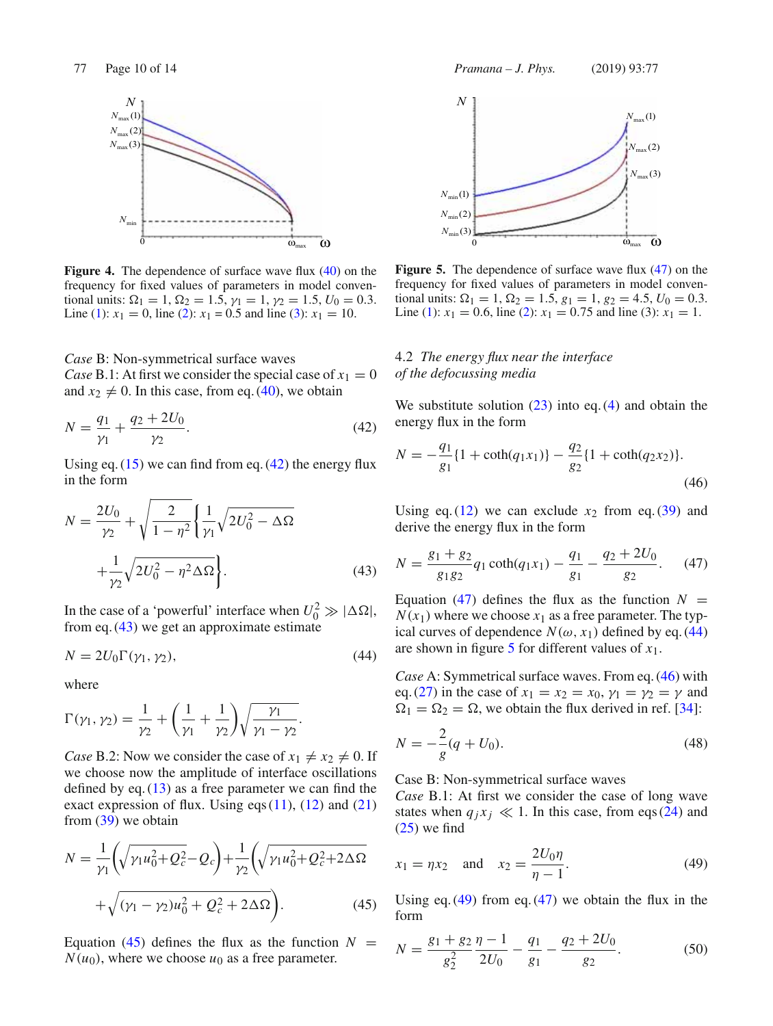

**Figure 4.** The dependence of surface wave flux (40) on the frequency for fixed values of parameters in model conventional units:  $\Omega_1 = 1$ ,  $\Omega_2 = 1.5$ ,  $\gamma_1 = 1$ ,  $\gamma_2 = 1.5$ ,  $U_0 = 0.3$ . Line (1):  $x_1 = 0$ , line (2):  $x_1 = 0.5$  and line (3):  $x_1 = 10$ .

*Case* B: Non-symmetrical surface waves

*Case* B.1: At first we consider the special case of  $x_1 = 0$ and  $x_2 \neq 0$ . In this case, from eq. (40), we obtain

$$
N = \frac{q_1}{\gamma_1} + \frac{q_2 + 2U_0}{\gamma_2}.
$$
\n(42)

Using eq.  $(15)$  we can find from eq.  $(42)$  the energy flux in the form

$$
N = \frac{2U_0}{\gamma_2} + \sqrt{\frac{2}{1 - \eta^2}} \left\{ \frac{1}{\gamma_1} \sqrt{2U_0^2 - \Delta\Omega} + \frac{1}{\gamma_2} \sqrt{2U_0^2 - \eta^2 \Delta\Omega} \right\}.
$$
 (43)

In the case of a 'powerful' interface when  $U_0^2 \gg |\Delta\Omega|$ , from eq.  $(43)$  we get an approximate estimate

$$
N = 2U_0 \Gamma(\gamma_1, \gamma_2),\tag{44}
$$

where

$$
\Gamma(\gamma_1, \gamma_2) = \frac{1}{\gamma_2} + \left(\frac{1}{\gamma_1} + \frac{1}{\gamma_2}\right) \sqrt{\frac{\gamma_1}{\gamma_1 - \gamma_2}}.
$$

*Case* B.2: Now we consider the case of  $x_1 \neq x_2 \neq 0$ . If we choose now the amplitude of interface oscillations defined by eq.  $(13)$  as a free parameter we can find the exact expression of flux. Using eqs  $(11)$ ,  $(12)$  and  $(21)$ from (39) we obtain

$$
N = \frac{1}{\gamma_1} \left( \sqrt{\gamma_1 u_0^2 + Q_c^2} - Q_c \right) + \frac{1}{\gamma_2} \left( \sqrt{\gamma_1 u_0^2 + Q_c^2 + 2\Delta\Omega} + \sqrt{(\gamma_1 - \gamma_2) u_0^2 + Q_c^2 + 2\Delta\Omega} \right).
$$
(45)

Equation (45) defines the flux as the function  $N =$  $N(u_0)$ , where we choose  $u_0$  as a free parameter.



**Figure 5.** The dependence of surface wave flux (47) on the frequency for fixed values of parameters in model conventional units:  $\Omega_1 = 1$ ,  $\Omega_2 = 1.5$ ,  $g_1 = 1$ ,  $g_2 = 4.5$ ,  $U_0 = 0.3$ . Line (1):  $x_1 = 0.6$ , line (2):  $x_1 = 0.75$  and line (3):  $x_1 = 1$ .

4.2 *The energy flux near the interface of the defocussing media*

We substitute solution  $(23)$  into eq.  $(4)$  and obtain the energy flux in the form

$$
N = -\frac{q_1}{g_1} \{ 1 + \coth(q_1 x_1) \} - \frac{q_2}{g_2} \{ 1 + \coth(q_2 x_2) \}.
$$
\n(46)

Using eq.  $(12)$  we can exclude  $x_2$  from eq.  $(39)$  and derive the energy flux in the form

$$
N = \frac{g_1 + g_2}{g_1 g_2} q_1 \coth(q_1 x_1) - \frac{q_1}{g_1} - \frac{q_2 + 2U_0}{g_2}.
$$
 (47)

Equation (47) defines the flux as the function  $N =$  $N(x_1)$  where we choose  $x_1$  as a free parameter. The typical curves of dependence  $N(\omega, x_1)$  defined by eq. (44) are shown in figure 5 for different values of *x*1.

*Case* A: Symmetrical surface waves. From eq. (46) with eq. (27) in the case of  $x_1 = x_2 = x_0$ ,  $y_1 = y_2 = y$  and  $\Omega_1 = \Omega_2 = \Omega$ , we obtain the flux derived in ref. [34]:

$$
N = -\frac{2}{g}(q + U_0).
$$
\n(48)

Case B: Non-symmetrical surface waves

*Case* B.1: At first we consider the case of long wave states when  $q_i x_j \ll 1$ . In this case, from eqs (24) and  $(25)$  we find

$$
x_1 = \eta x_2
$$
 and  $x_2 = \frac{2U_0 \eta}{\eta - 1}$ . (49)

Using eq.  $(49)$  from eq.  $(47)$  we obtain the flux in the form

$$
N = \frac{g_1 + g_2}{g_2^2} \frac{\eta - 1}{2U_0} - \frac{q_1}{g_1} - \frac{q_2 + 2U_0}{g_2}.
$$
 (50)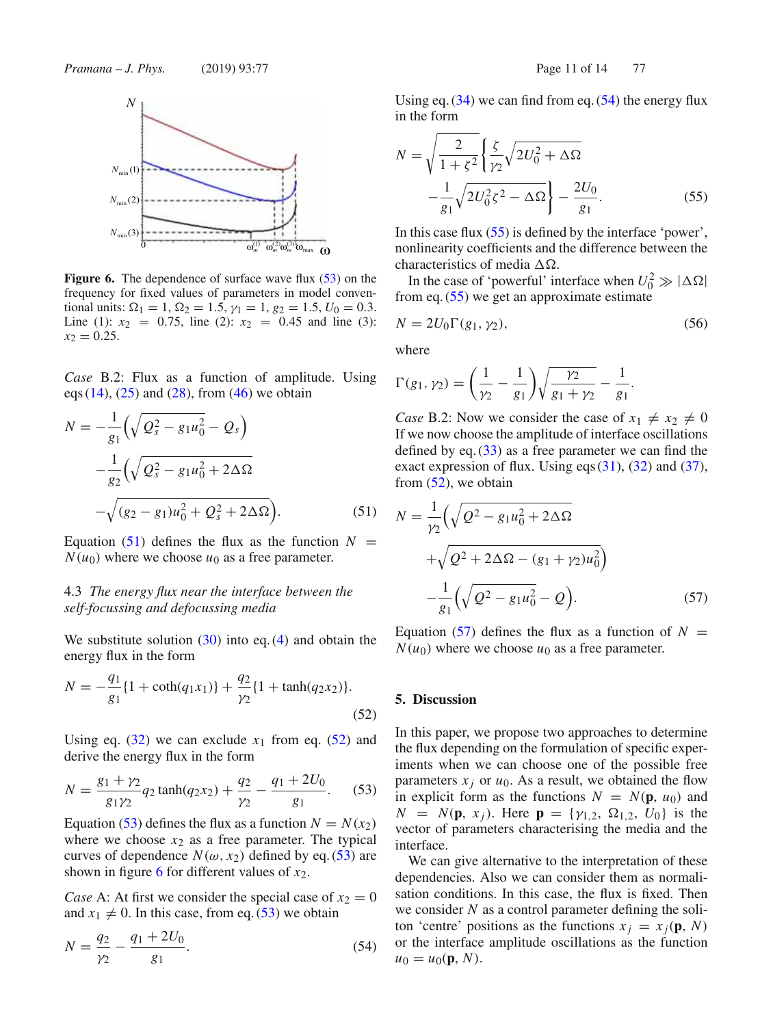

**Figure 6.** The dependence of surface wave flux (53) on the frequency for fixed values of parameters in model conventional units:  $\Omega_1 = 1$ ,  $\Omega_2 = 1.5$ ,  $\gamma_1 = 1$ ,  $g_2 = 1.5$ ,  $U_0 = 0.3$ . Line (1):  $x_2 = 0.75$ , line (2):  $x_2 = 0.45$  and line (3):  $x_2 = 0.25$ .

*Case* B.2: Flux as a function of amplitude. Using eqs  $(14)$ ,  $(25)$  and  $(28)$ , from  $(46)$  we obtain

$$
N = -\frac{1}{g_1} \left( \sqrt{Q_s^2 - g_1 u_0^2} - Q_s \right)
$$
  
 
$$
-\frac{1}{g_2} \left( \sqrt{Q_s^2 - g_1 u_0^2 + 2 \Delta \Omega} - \sqrt{(g_2 - g_1) u_0^2 + Q_s^2 + 2 \Delta \Omega} \right).
$$
 (51)

Equation (51) defines the flux as the function  $N =$  $N(u_0)$  where we choose  $u_0$  as a free parameter.

# 4.3 *The energy flux near the interface between the self-focussing and defocussing media*

We substitute solution  $(30)$  into eq.  $(4)$  and obtain the energy flux in the form

$$
N = -\frac{q_1}{g_1} \{ 1 + \coth(q_1 x_1) \} + \frac{q_2}{\gamma_2} \{ 1 + \tanh(q_2 x_2) \}.
$$
\n(52)

Using eq.  $(32)$  we can exclude  $x_1$  from eq.  $(52)$  and derive the energy flux in the form

$$
N = \frac{g_1 + \gamma_2}{g_1 \gamma_2} q_2 \tanh(q_2 x_2) + \frac{q_2}{\gamma_2} - \frac{q_1 + 2U_0}{g_1}.
$$
 (53)

Equation (53) defines the flux as a function  $N = N(x_2)$ where we choose  $x_2$  as a free parameter. The typical curves of dependence  $N(\omega, x_2)$  defined by eq. (53) are shown in figure 6 for different values of *x*2.

*Case* A: At first we consider the special case of  $x_2 = 0$ and  $x_1 \neq 0$ . In this case, from eq. (53) we obtain

$$
N = \frac{q_2}{\gamma_2} - \frac{q_1 + 2U_0}{g_1}.\tag{54}
$$

Using eq.  $(34)$  we can find from eq.  $(54)$  the energy flux in the form

$$
N = \sqrt{\frac{2}{1+\xi^2}} \left\{ \frac{\xi}{\gamma_2} \sqrt{2U_0^2 + \Delta\Omega} - \frac{1}{g_1} \sqrt{2U_0^2 \xi^2 - \Delta\Omega} \right\} - \frac{2U_0}{g_1}.
$$
 (55)

In this case flux  $(55)$  is defined by the interface 'power', nonlinearity coefficients and the difference between the characteristics of media  $\Delta \Omega$ .

In the case of 'powerful' interface when  $U_0^2 \gg |\Delta\Omega|$ from eq.  $(55)$  we get an approximate estimate

$$
N = 2U_0 \Gamma(g_1, \gamma_2),\tag{56}
$$

where

$$
\Gamma(g_1, \gamma_2) = \left(\frac{1}{\gamma_2} - \frac{1}{g_1}\right) \sqrt{\frac{\gamma_2}{g_1 + \gamma_2}} - \frac{1}{g_1}.
$$

*Case* B.2: Now we consider the case of  $x_1 \neq x_2 \neq 0$ If we now choose the amplitude of interface oscillations defined by eq. (33) as a free parameter we can find the exact expression of flux. Using eqs (31), (32) and (37), from (52), we obtain

$$
N = \frac{1}{\gamma_2} \left( \sqrt{Q^2 - g_1 u_0^2 + 2\Delta\Omega} + \sqrt{Q^2 + 2\Delta\Omega - (g_1 + \gamma_2)u_0^2} \right) - \frac{1}{g_1} \left( \sqrt{Q^2 - g_1 u_0^2} - Q \right).
$$
 (57)

Equation (57) defines the flux as a function of  $N =$  $N(u_0)$  where we choose  $u_0$  as a free parameter.

#### **5. Discussion**

In this paper, we propose two approaches to determine the flux depending on the formulation of specific experiments when we can choose one of the possible free parameters  $x_i$  or  $u_0$ . As a result, we obtained the flow in explicit form as the functions  $N = N(\mathbf{p}, u_0)$  and *N* = *N*( $\mathbf{p}$ , *x<sub>j</sub>*). Here  $\mathbf{p} = {\gamma_{1,2}, \Omega_{1,2}, U_0}$  is the vector of parameters characterising the media and the interface.

We can give alternative to the interpretation of these dependencies. Also we can consider them as normalisation conditions. In this case, the flux is fixed. Then we consider *N* as a control parameter defining the soliton 'centre' positions as the functions  $x_j = x_j(\mathbf{p}, N)$ or the interface amplitude oscillations as the function  $u_0 = u_0(\mathbf{p}, N)$ .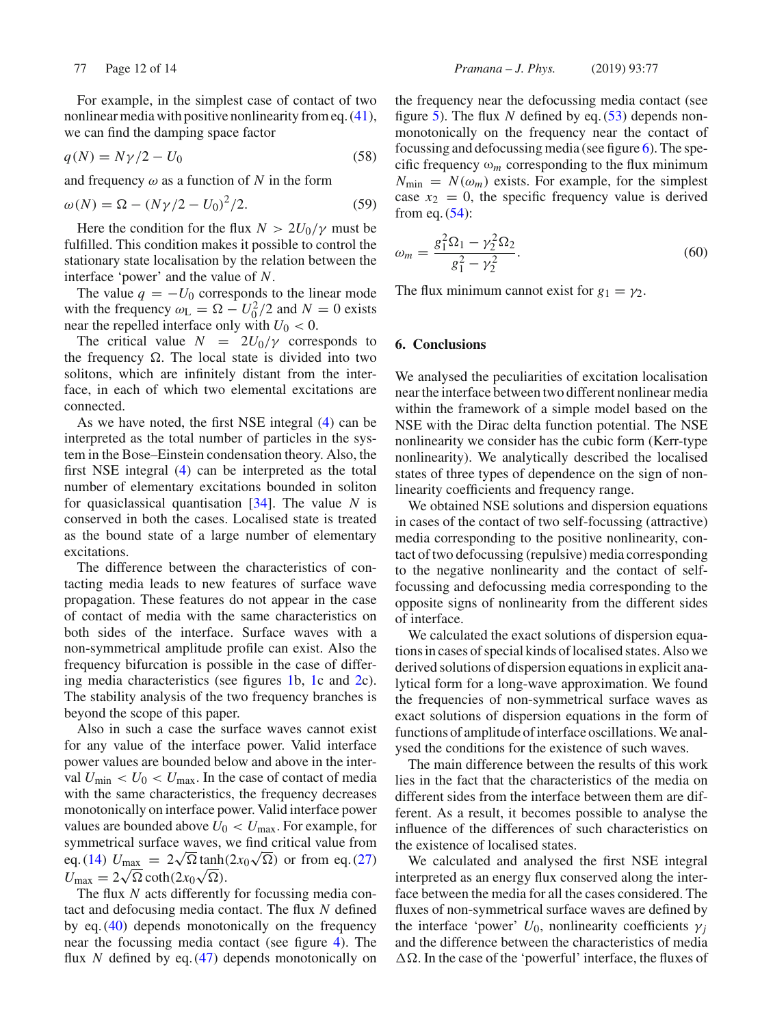For example, in the simplest case of contact of two nonlinear media with positive nonlinearity from eq. (41), we can find the damping space factor

$$
q(N) = N\gamma/2 - U_0 \tag{58}
$$

and frequency  $\omega$  as a function of N in the form

$$
\omega(N) = \Omega - (N\gamma/2 - U_0)^2/2.
$$
 (59)

Here the condition for the flux  $N > 2U_0/\gamma$  must be fulfilled. This condition makes it possible to control the stationary state localisation by the relation between the interface 'power' and the value of *N*.

The value  $q = -U_0$  corresponds to the linear mode with the frequency  $\omega_L = \Omega - U_0^2/2$  and  $N = 0$  exists near the repelled interface only with  $U_0 < 0$ .

The critical value  $N = 2U_0/\gamma$  corresponds to the frequency  $\Omega$ . The local state is divided into two solitons, which are infinitely distant from the interface, in each of which two elemental excitations are connected.

As we have noted, the first NSE integral (4) can be interpreted as the total number of particles in the system in the Bose–Einstein condensation theory. Also, the first NSE integral (4) can be interpreted as the total number of elementary excitations bounded in soliton for quasiclassical quantisation [34]. The value *N* is conserved in both the cases. Localised state is treated as the bound state of a large number of elementary excitations.

The difference between the characteristics of contacting media leads to new features of surface wave propagation. These features do not appear in the case of contact of media with the same characteristics on both sides of the interface. Surface waves with a non-symmetrical amplitude profile can exist. Also the frequency bifurcation is possible in the case of differing media characteristics (see figures 1b, 1c and 2c). The stability analysis of the two frequency branches is beyond the scope of this paper.

Also in such a case the surface waves cannot exist for any value of the interface power. Valid interface power values are bounded below and above in the interval  $U_{\text{min}} < U_0 < U_{\text{max}}$ . In the case of contact of media with the same characteristics, the frequency decreases monotonically on interface power. Valid interface power values are bounded above  $U_0 < U_{\text{max}}$ . For example, for symmetrical surface waves, we find critical value from eq. (14)  $U_{\text{max}} = 2\sqrt{\Omega} \tanh(2x_0\sqrt{\Omega})$  or from eq. (27)  $U_{\text{max}} = 2\sqrt{\Omega} \coth(2x_0\sqrt{\Omega}).$ 

The flux *N* acts differently for focussing media contact and defocusing media contact. The flux *N* defined by eq. (40) depends monotonically on the frequency near the focussing media contact (see figure 4). The flux *N* defined by eq. (47) depends monotonically on the frequency near the defocussing media contact (see figure 5). The flux *N* defined by eq. (53) depends nonmonotonically on the frequency near the contact of focussing and defocussing media (see figure 6). The specific frequency  $\omega_m$  corresponding to the flux minimum  $N_{\text{min}} = N(\omega_m)$  exists. For example, for the simplest case  $x_2 = 0$ , the specific frequency value is derived from eq.  $(54)$ :

$$
\omega_m = \frac{g_1^2 \Omega_1 - \gamma_2^2 \Omega_2}{g_1^2 - \gamma_2^2}.
$$
\n(60)

The flux minimum cannot exist for  $g_1 = \gamma_2$ .

#### **6. Conclusions**

We analysed the peculiarities of excitation localisation near the interface between two different nonlinear media within the framework of a simple model based on the NSE with the Dirac delta function potential. The NSE nonlinearity we consider has the cubic form (Kerr-type nonlinearity). We analytically described the localised states of three types of dependence on the sign of nonlinearity coefficients and frequency range.

We obtained NSE solutions and dispersion equations in cases of the contact of two self-focussing (attractive) media corresponding to the positive nonlinearity, contact of two defocussing (repulsive) media corresponding to the negative nonlinearity and the contact of selffocussing and defocussing media corresponding to the opposite signs of nonlinearity from the different sides of interface.

We calculated the exact solutions of dispersion equations in cases of special kinds of localised states. Also we derived solutions of dispersion equations in explicit analytical form for a long-wave approximation. We found the frequencies of non-symmetrical surface waves as exact solutions of dispersion equations in the form of functions of amplitude of interface oscillations. We analysed the conditions for the existence of such waves.

The main difference between the results of this work lies in the fact that the characteristics of the media on different sides from the interface between them are different. As a result, it becomes possible to analyse the influence of the differences of such characteristics on the existence of localised states.

We calculated and analysed the first NSE integral interpreted as an energy flux conserved along the interface between the media for all the cases considered. The fluxes of non-symmetrical surface waves are defined by the interface 'power'  $U_0$ , nonlinearity coefficients  $\gamma_i$ and the difference between the characteristics of media  $\Delta\Omega$ . In the case of the 'powerful' interface, the fluxes of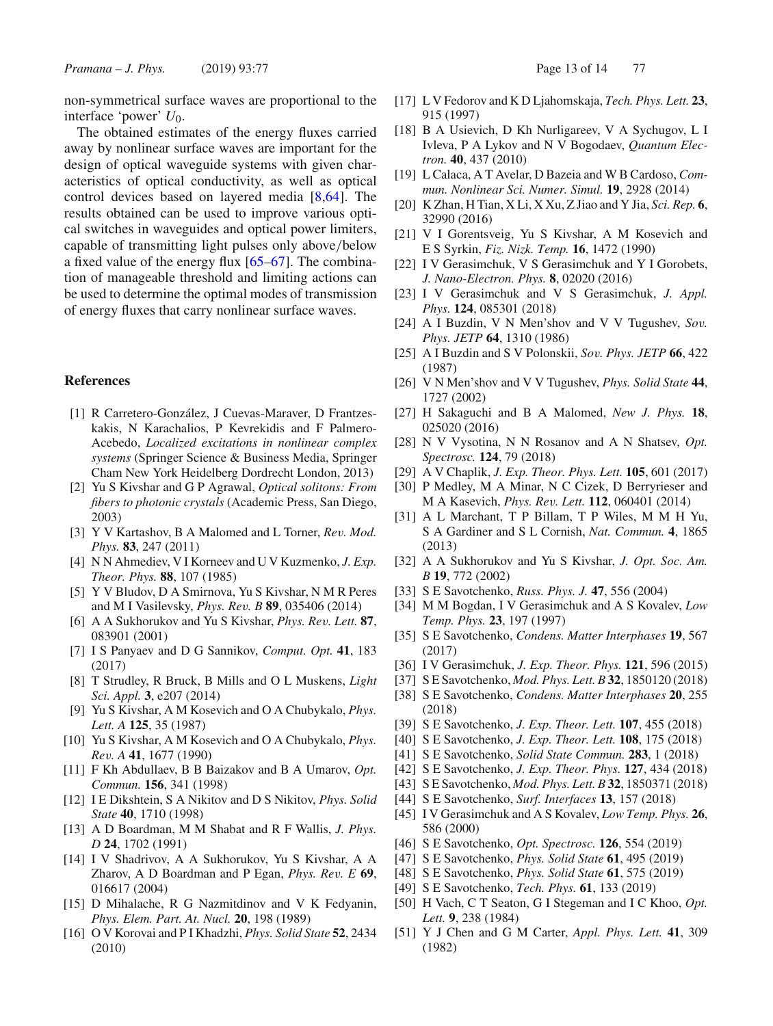non-symmetrical surface waves are proportional to the interface 'power' U<sub>0</sub>.

The obtained estimates of the energy fluxes carried away by nonlinear surface waves are important for the design of optical waveguide systems with given characteristics of optical conductivity, as well as optical control devices based on layered media [8,64]. The results obtained can be used to improve various optical switches in waveguides and optical power limiters, capable of transmitting light pulses only above/below a fixed value of the energy flux [65–67]. The combination of manageable threshold and limiting actions can be used to determine the optimal modes of transmission of energy fluxes that carry nonlinear surface waves.

#### **References**

- [1] R Carretero-González, J Cuevas-Maraver, D Frantzeskakis, N Karachalios, P Kevrekidis and F Palmero-Acebedo, *Localized excitations in nonlinear complex systems* (Springer Science & Business Media, Springer Cham New York Heidelberg Dordrecht London, 2013)
- [2] Yu S Kivshar and G P Agrawal, *Optical solitons: From fibers to photonic crystals* (Academic Press, San Diego, 2003)
- [3] Y V Kartashov, B A Malomed and L Torner, *Rev. Mod. Phys.* **83**, 247 (2011)
- [4] N N Ahmediev, V I Korneev and U V Kuzmenko, *J. Exp. Theor. Phys.* **88**, 107 (1985)
- [5] Y V Bludov, D A Smirnova, Yu S Kivshar, N M R Peres and M I Vasilevsky, *Phys. Rev. B* **89**, 035406 (2014)
- [6] A A Sukhorukov and Yu S Kivshar, *Phys. Rev. Lett.* **87**, 083901 (2001)
- [7] I S Panyaev and D G Sannikov, *Comput. Opt.* **41**, 183 (2017)
- [8] T Strudley, R Bruck, B Mills and O L Muskens, *Light Sci. Appl.* **3**, e207 (2014)
- [9] Yu S Kivshar, A M Kosevich and O A Chubykalo, *Phys. Lett. A* **125**, 35 (1987)
- [10] Yu S Kivshar, A M Kosevich and O A Chubykalo, *Phys. Rev. A* **41**, 1677 (1990)
- [11] F Kh Abdullaev, B B Baizakov and B A Umarov, *Opt. Commun.* **156**, 341 (1998)
- [12] I E Dikshtein, S A Nikitov and D S Nikitov, *Phys. Solid State* **40**, 1710 (1998)
- [13] A D Boardman, M M Shabat and R F Wallis, *J. Phys. D* **24**, 1702 (1991)
- [14] I V Shadrivov, A A Sukhorukov, Yu S Kivshar, A A Zharov, A D Boardman and P Egan, *Phys. Rev. E* **69**, 016617 (2004)
- [15] D Mihalache, R G Nazmitdinov and V K Fedyanin, *Phys. Elem. Part. At. Nucl.* **20**, 198 (1989)
- [16] O V Korovai and P I Khadzhi, *Phys. Solid State* **52**, 2434 (2010)
- [17] L V Fedorov and K D Ljahomskaja, *Tech. Phys. Lett.* **23**, 915 (1997)
- [18] B A Usievich, D Kh Nurligareev, V A Sychugov, L I Ivleva, P A Lykov and N V Bogodaev, *Quantum Electron.* **40**, 437 (2010)
- [19] L Calaca, A T Avelar, D Bazeia and W B Cardoso, *Commun. Nonlinear Sci. Numer. Simul.* **19**, 2928 (2014)
- [20] K Zhan, H Tian, X Li, X Xu, Z Jiao and Y Jia, *Sci. Rep.* **6**, 32990 (2016)
- [21] V I Gorentsveig, Yu S Kivshar, A M Kosevich and E S Syrkin, *Fiz. Nizk. Temp.* **16**, 1472 (1990)
- [22] I V Gerasimchuk, V S Gerasimchuk and Y I Gorobets, *J. Nano-Electron. Phys.* **8**, 02020 (2016)
- [23] I V Gerasimchuk and V S Gerasimchuk, *J. Appl. Phys.* **124**, 085301 (2018)
- [24] A I Buzdin, V N Men'shov and V V Tugushev, *Sov. Phys. JETP* **64**, 1310 (1986)
- [25] A I Buzdin and S V Polonskii, *Sov. Phys. JETP* **66**, 422 (1987)
- [26] V N Men'shov and V V Tugushev, *Phys. Solid State* **44**, 1727 (2002)
- [27] H Sakaguchi and B A Malomed, *New J. Phys.* **18**, 025020 (2016)
- [28] N V Vysotina, N N Rosanov and A N Shatsev, *Opt. Spectrosc.* **124**, 79 (2018)
- [29] A V Chaplik, *J. Exp. Theor. Phys. Lett.* **105**, 601 (2017)
- [30] P Medley, M A Minar, N C Cizek, D Berryrieser and M A Kasevich, *Phys. Rev. Lett.* **112**, 060401 (2014)
- [31] A L Marchant, T P Billam, T P Wiles, M M H Yu, S A Gardiner and S L Cornish, *Nat. Commun.* **4**, 1865 (2013)
- [32] A A Sukhorukov and Yu S Kivshar, *J. Opt. Soc. Am. B* **19**, 772 (2002)
- [33] S E Savotchenko, *Russ. Phys. J.* **47**, 556 (2004)
- [34] M M Bogdan, I V Gerasimchuk and A S Kovalev, *Low Temp. Phys.* **23**, 197 (1997)
- [35] S E Savotchenko, *Condens. Matter Interphases* **19**, 567 (2017)
- [36] I V Gerasimchuk, *J. Exp. Theor. Phys.* **121**, 596 (2015)
- [37] S E Savotchenko, *Mod. Phys. Lett. B* **32**, 1850120 (2018)
- [38] S E Savotchenko, *Condens. Matter Interphases* **20**, 255 (2018)
- [39] S E Savotchenko, *J. Exp. Theor. Lett.* **107**, 455 (2018)
- [40] S E Savotchenko, *J. Exp. Theor. Lett.* **108**, 175 (2018)
- [41] S E Savotchenko, *Solid State Commun.* **283**, 1 (2018)
- [42] S E Savotchenko, *J. Exp. Theor. Phys.* **127**, 434 (2018)
- [43] S E Savotchenko, *Mod. Phys. Lett. B* **32**, 1850371 (2018)
- [44] S E Savotchenko, *Surf. Interfaces* **13**, 157 (2018)
- [45] I V Gerasimchuk and A S Kovalev, *Low Temp. Phys.* **26**, 586 (2000)
- [46] S E Savotchenko, *Opt. Spectrosc.* **126**, 554 (2019)
- [47] S E Savotchenko, *Phys. Solid State* **61**, 495 (2019)
- [48] S E Savotchenko, *Phys. Solid State* **61**, 575 (2019)
- [49] S E Savotchenko, *Tech. Phys.* **61**, 133 (2019)
- [50] H Vach, C T Seaton, G I Stegeman and I C Khoo, *Opt. Lett.* **9**, 238 (1984)
- [51] Y J Chen and G M Carter, *Appl. Phys. Lett.* **41**, 309 (1982)